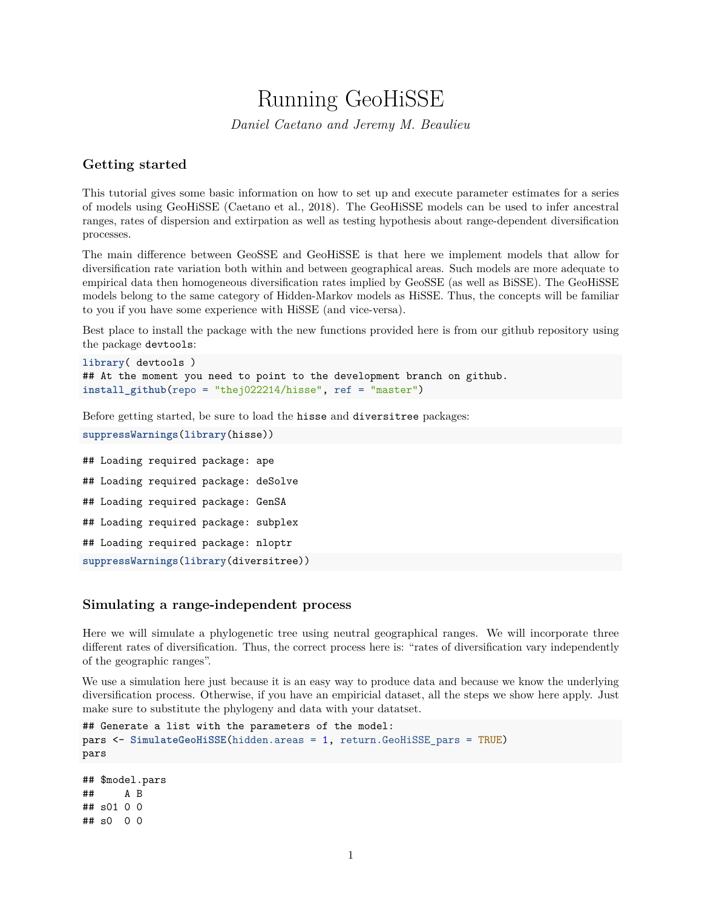# Running GeoHiSSE

*Daniel Caetano and Jeremy M. Beaulieu*

## **Getting started**

This tutorial gives some basic information on how to set up and execute parameter estimates for a series of models using GeoHiSSE (Caetano et al., 2018). The GeoHiSSE models can be used to infer ancestral ranges, rates of dispersion and extirpation as well as testing hypothesis about range-dependent diversification processes.

The main difference between GeoSSE and GeoHiSSE is that here we implement models that allow for diversification rate variation both within and between geographical areas. Such models are more adequate to empirical data then homogeneous diversification rates implied by GeoSSE (as well as BiSSE). The GeoHiSSE models belong to the same category of Hidden-Markov models as HiSSE. Thus, the concepts will be familiar to you if you have some experience with HiSSE (and vice-versa).

Best place to install the package with the new functions provided here is from our github repository using the package devtools:

```
library( devtools )
## At the moment you need to point to the development branch on github.
install_github(repo = "thej022214/hisse", ref = "master")
```
Before getting started, be sure to load the hisse and diversitree packages:

```
suppressWarnings(library(hisse))
```
## Loading required package: ape ## Loading required package: deSolve ## Loading required package: GenSA ## Loading required package: subplex ## Loading required package: nloptr **suppressWarnings**(**library**(diversitree))

## **Simulating a range-independent process**

Here we will simulate a phylogenetic tree using neutral geographical ranges. We will incorporate three different rates of diversification. Thus, the correct process here is: "rates of diversification vary independently of the geographic ranges".

We use a simulation here just because it is an easy way to produce data and because we know the underlying diversification process. Otherwise, if you have an empiricial dataset, all the steps we show here apply. Just make sure to substitute the phylogeny and data with your datatset.

```
## Generate a list with the parameters of the model:
pars <- SimulateGeoHiSSE(hidden.areas = 1, return.GeoHiSSE_pars = TRUE)
pars
```
## \$model.pars ## A B ## s01 0 0 ## s0 0 0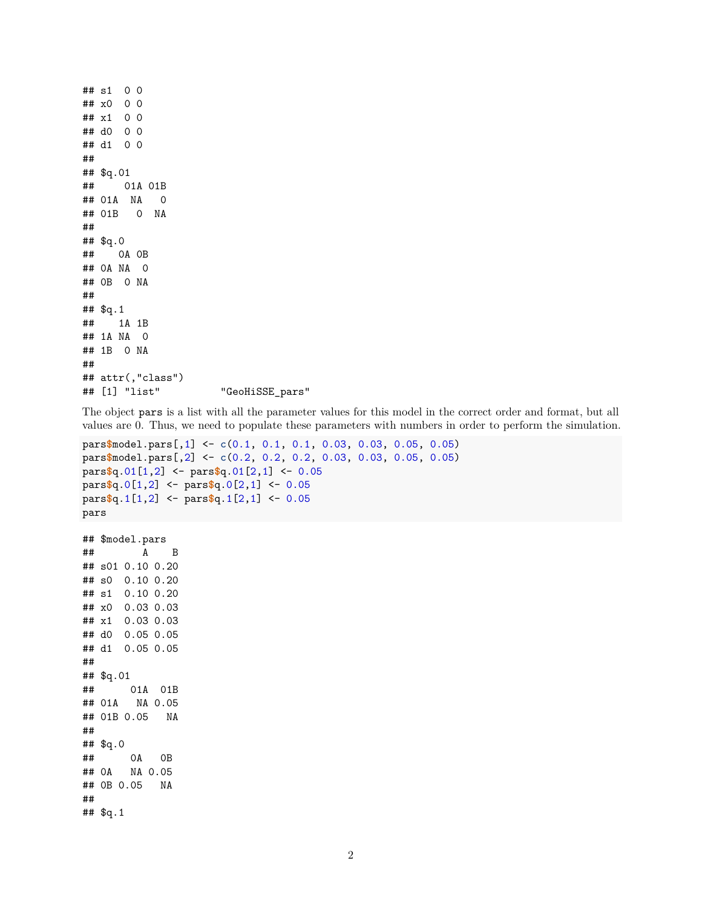```
## s1 0 0
## x0 0 0
## x1 0 0
## d0 0 0
## d1 0 0
##
## $q.01
## 01A 01B
## 01A NA 0
## 01B 0 NA
##
## $q.0
## 0A 0B
## 0A NA 0
## 0B 0 NA
##
## $q.1
## 1A 1B
## 1A NA 0
## 1B 0 NA
##
## attr(,"class")
## [1] "list" "GeoHiSSE_pars"
```
The object pars is a list with all the parameter values for this model in the correct order and format, but all values are 0. Thus, we need to populate these parameters with numbers in order to perform the simulation.

```
pars$model.pars[,1] <- c(0.1, 0.1, 0.1, 0.03, 0.03, 0.05, 0.05)
pars$model.pars[,2] <- c(0.2, 0.2, 0.2, 0.03, 0.03, 0.05, 0.05)
pars$q.01[1,2] <- pars$q.01[2,1] <- 0.05
pars$q.0[1,2] <- pars$q.0[2,1] <- 0.05
pars$q.1[1,2] <- pars$q.1[2,1] <- 0.05
pars
## $model.pars
## A B
## s01 0.10 0.20
## s0 0.10 0.20
## s1 0.10 0.20
## x0 0.03 0.03
## x1 0.03 0.03
## d0 0.05 0.05
## d1 0.05 0.05
##
## $q.01
## 01A 01B
## 01A NA 0.05
## 01B 0.05 NA
##
## $q.0
## 0A 0B
## 0A NA 0.05
## 0B 0.05 NA
##
```

```
## $q.1
```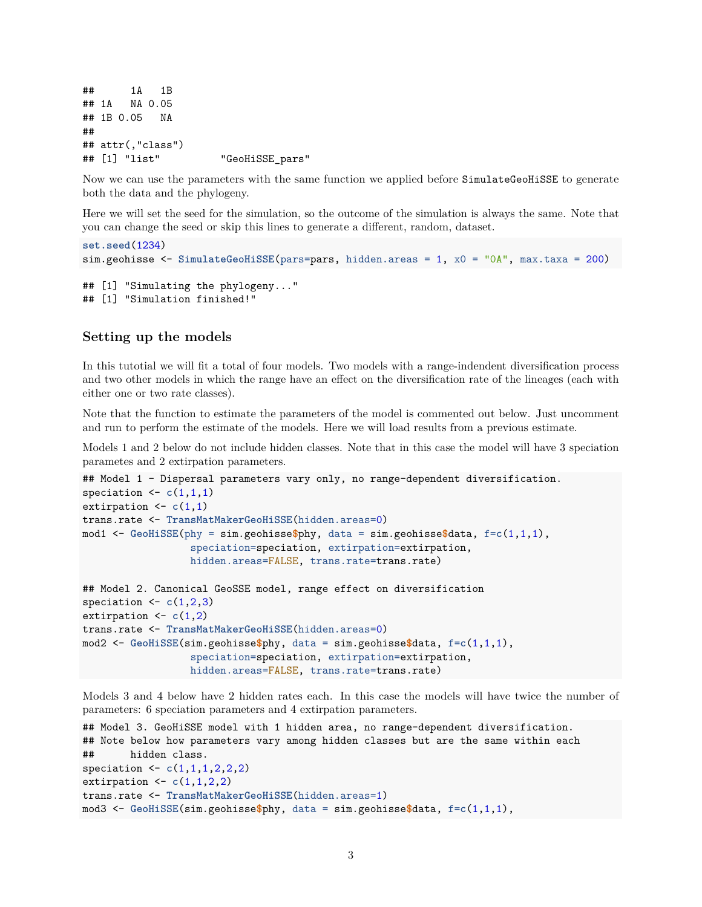## 1A 1B ## 1A NA 0.05 ## 1B 0.05 NA ## ## attr(,"class") ## [1] "list" "GeoHiSSE pars"

Now we can use the parameters with the same function we applied before SimulateGeoHiSSE to generate both the data and the phylogeny.

Here we will set the seed for the simulation, so the outcome of the simulation is always the same. Note that you can change the seed or skip this lines to generate a different, random, dataset.

```
set.seed(1234)
sim.geohisse <- SimulateGeoHiSSE(pars=pars, hidden.areas = 1, x0 = "0A", max.taxa = 200)
## [1] "Simulating the phylogeny..."
## [1] "Simulation finished!"
```
#### **Setting up the models**

In this tutotial we will fit a total of four models. Two models with a range-indendent diversification process and two other models in which the range have an effect on the diversification rate of the lineages (each with either one or two rate classes).

Note that the function to estimate the parameters of the model is commented out below. Just uncomment and run to perform the estimate of the models. Here we will load results from a previous estimate.

Models 1 and 2 below do not include hidden classes. Note that in this case the model will have 3 speciation parametes and 2 extirpation parameters.

```
## Model 1 - Dispersal parameters vary only, no range-dependent diversification.
speciation \leq c(1,1,1)extirpation <- c(1,1)
trans.rate <- TransMatMakerGeoHiSSE(hidden.areas=0)
mod1 <- GeoHiSSE(phy = sim.geohisse$phy, data = sim.geohisse$data, f=c(1,1,1),
                  speciation=speciation, extirpation=extirpation,
                  hidden.areas=FALSE, trans.rate=trans.rate)
## Model 2. Canonical GeoSSE model, range effect on diversification
speciation \leq c(1,2,3)extirpation \leftarrow c(1,2)trans.rate <- TransMatMakerGeoHiSSE(hidden.areas=0)
mod2 <- GeoHiSSE(sim.geohisse$phy, data = sim.geohisse$data, f=c(1,1,1),
                  speciation=speciation, extirpation=extirpation,
                  hidden.areas=FALSE, trans.rate=trans.rate)
```
Models 3 and 4 below have 2 hidden rates each. In this case the models will have twice the number of parameters: 6 speciation parameters and 4 extirpation parameters.

```
## Model 3. GeoHiSSE model with 1 hidden area, no range-dependent diversification.
## Note below how parameters vary among hidden classes but are the same within each
## hidden class.
speciation <- c(1,1,1,2,2,2)
extirpation <- c(1,1,2,2)
trans.rate <- TransMatMakerGeoHiSSE(hidden.areas=1)
mod3 <- GeoHiSSE(sim.geohisse$phy, data = sim.geohisse$data, f=c(1,1,1),
```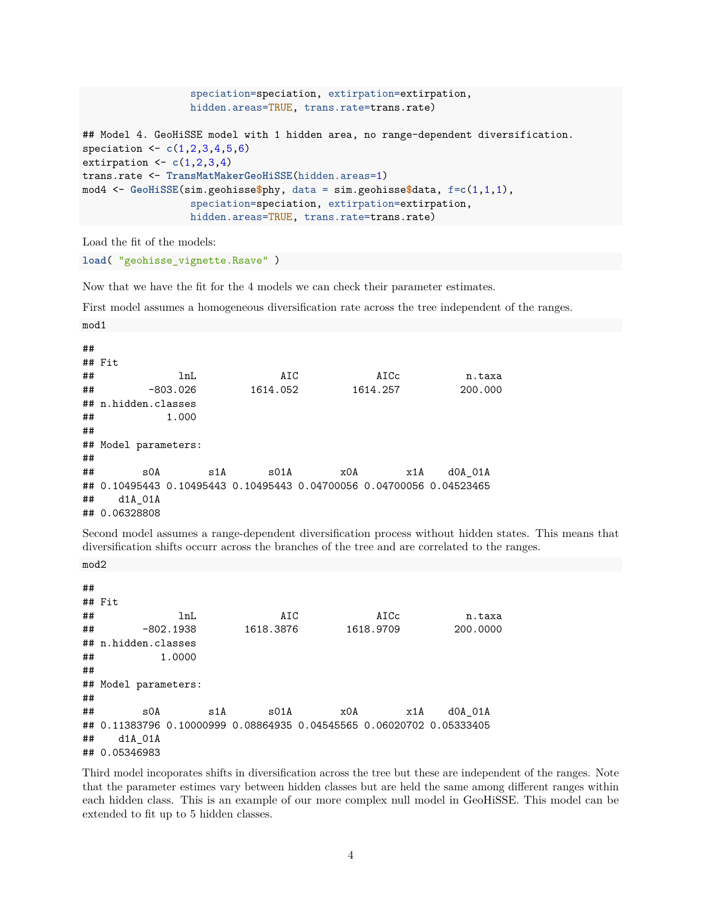```
speciation=speciation, extirpation=extirpation,
                  hidden.areas=TRUE, trans.rate=trans.rate)
## Model 4. GeoHiSSE model with 1 hidden area, no range-dependent diversification.
speciation <- c(1,2,3,4,5,6)
extirpation <- c(1,2,3,4)
trans.rate <- TransMatMakerGeoHiSSE(hidden.areas=1)
mod4 <- GeoHiSSE(sim.geohisse$phy, data = sim.geohisse$data, f=c(1,1,1),
                  speciation=speciation, extirpation=extirpation,
                  hidden.areas=TRUE, trans.rate=trans.rate)
```
Load the fit of the models:

**load**( "geohisse\_vignette.Rsave" )

Now that we have the fit for the 4 models we can check their parameter estimates.

First model assumes a homogeneous diversification rate across the tree independent of the ranges.

| ## |                      |            |                      |     |                                                                      |         |
|----|----------------------|------------|----------------------|-----|----------------------------------------------------------------------|---------|
|    | ## Fit               |            |                      |     |                                                                      |         |
| ## |                      | lnL        | AIC                  |     | AICc                                                                 | n.taxa  |
| ## |                      | $-803.026$ | 1614.052             |     | 1614.257                                                             | 200,000 |
|    | ## n.hidden.classes  |            |                      |     |                                                                      |         |
| ## |                      | 1.000      |                      |     |                                                                      |         |
| ## |                      |            |                      |     |                                                                      |         |
|    | ## Model parameters: |            |                      |     |                                                                      |         |
| ## |                      |            |                      |     |                                                                      |         |
| ## | SOA                  | s1A        | $\text{S}01\text{A}$ | x0A | x1A                                                                  | dOA 01A |
|    |                      |            |                      |     | ## 0.10495443 0.10495443 0.10495443 0.04700056 0.04700056 0.04523465 |         |
| ## | d1A 01A              |            |                      |     |                                                                      |         |
|    | ## 0.06328808        |            |                      |     |                                                                      |         |

Second model assumes a range-dependent diversification process without hidden states. This means that diversification shifts occurr across the branches of the tree and are correlated to the ranges.

mod2

mod1

| ## |                                                                           |             |                      |     |           |          |
|----|---------------------------------------------------------------------------|-------------|----------------------|-----|-----------|----------|
|    | ## Fit                                                                    |             |                      |     |           |          |
| ## |                                                                           | lnL         | AIC                  |     | AICc      | n.taxa   |
| ## |                                                                           | $-802.1938$ | 1618.3876            |     | 1618.9709 | 200,0000 |
|    | ## n.hidden.classes                                                       |             |                      |     |           |          |
| ## |                                                                           | 1.0000      |                      |     |           |          |
| ## |                                                                           |             |                      |     |           |          |
|    | ## Model parameters:                                                      |             |                      |     |           |          |
| ## |                                                                           |             |                      |     |           |          |
| ## | SOA                                                                       | s1A         | $\text{S}01\text{A}$ | x0A | x1A       | dOA 01A  |
|    | ## 0.11383796  0.10000999  0.08864935  0.04545565  0.06020702  0.05333405 |             |                      |     |           |          |
| ## | d1A 01A                                                                   |             |                      |     |           |          |
|    | ## 0.05346983                                                             |             |                      |     |           |          |

Third model incoporates shifts in diversification across the tree but these are independent of the ranges. Note that the parameter estimes vary between hidden classes but are held the same among different ranges within each hidden class. This is an example of our more complex null model in GeoHiSSE. This model can be extended to fit up to 5 hidden classes.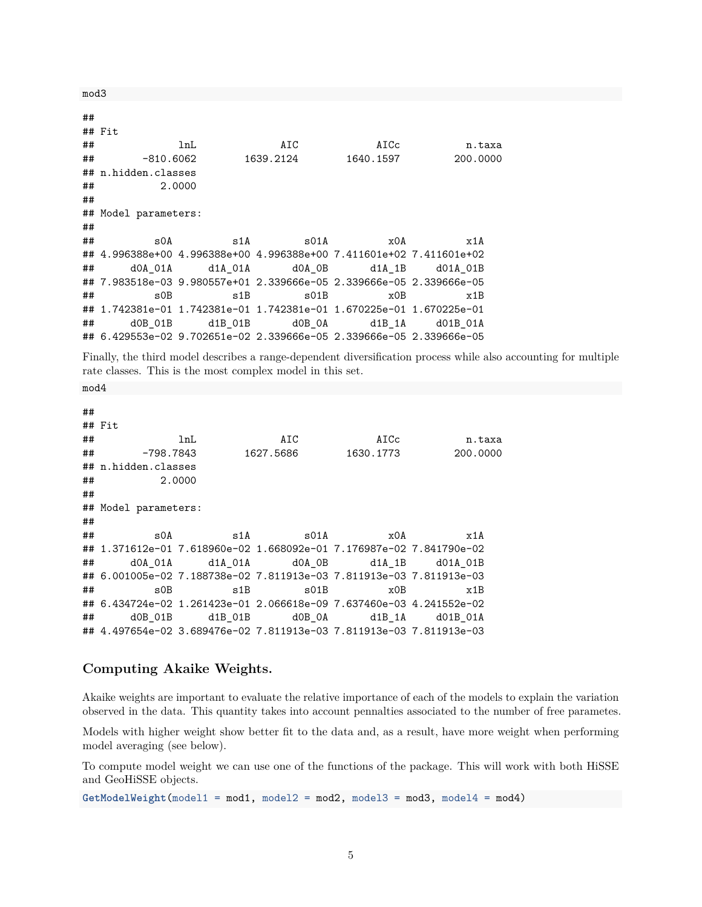mod3

| ## |                      |  |                                                                     |      |                        |
|----|----------------------|--|---------------------------------------------------------------------|------|------------------------|
|    | ## Fit               |  |                                                                     |      |                        |
| ## | lnL                  |  | AIC                                                                 | AICc | n.taxa                 |
|    |                      |  |                                                                     |      | 1640.1597     200.0000 |
|    | ## n.hidden.classes  |  |                                                                     |      |                        |
| ## | 2.0000               |  |                                                                     |      |                        |
| ## |                      |  |                                                                     |      |                        |
|    | ## Model parameters: |  |                                                                     |      |                        |
| ## |                      |  |                                                                     |      |                        |
| ## | SOA                  |  | $\texttt{s1A}$ $\texttt{s01A}$ $\texttt{x0A}$                       |      | x1A                    |
|    |                      |  | ## 4.996388e+00 4.996388e+00 4.996388e+00 7.411601e+02 7.411601e+02 |      |                        |
|    |                      |  | ## d0A 01A d1A 01A d0A 0B d1A 1B d01A 01B                           |      |                        |
|    |                      |  | ## 7.983518e-03 9.980557e+01 2.339666e-05 2.339666e-05 2.339666e-05 |      |                        |
| ## | $\mathbf{s}$ OB      |  | $\verb s1B $ $\verb s01B $                                          | x0B  | x1B                    |
|    |                      |  | ## 1.742381e-01 1.742381e-01 1.742381e-01 1.670225e-01 1.670225e-01 |      |                        |
|    |                      |  | ## d0B_01B d1B_01B d0B_0A d1B_1A d01B_01A                           |      |                        |
|    |                      |  | ## 6.429553e-02 9.702651e-02 2.339666e-05 2.339666e-05 2.339666e-05 |      |                        |

Finally, the third model describes a range-dependent diversification process while also accounting for multiple rate classes. This is the most complex model in this set.

mod4

| ## |                                    |     |                                |                                                                     |                    |
|----|------------------------------------|-----|--------------------------------|---------------------------------------------------------------------|--------------------|
|    | ## Fit                             |     |                                |                                                                     |                    |
| ## |                                    | lnL | AIC                            | AICc                                                                | n.taxa             |
|    |                                    |     |                                |                                                                     | 1630.1773 200.0000 |
|    | ## n.hidden.classes                |     |                                |                                                                     |                    |
| ## | 2.0000                             |     |                                |                                                                     |                    |
| ## |                                    |     |                                |                                                                     |                    |
|    | ## Model parameters:               |     |                                |                                                                     |                    |
| ## |                                    |     |                                |                                                                     |                    |
| ## | $\texttt{sOA}$                     |     |                                | $\texttt{s1A}$ $\texttt{s01A}$ $\texttt{x0A}$                       | x1A                |
|    |                                    |     |                                | ## 1.371612e-01 7.618960e-02 1.668092e-01 7.176987e-02 7.841790e-02 |                    |
|    |                                    |     |                                | ## d0A 01A d1A 01A d0A 0B d1A 1B d01A 01B                           |                    |
|    |                                    |     |                                | ## 6.001005e-02 7.188738e-02 7.811913e-03 7.811913e-03 7.811913e-03 |                    |
| ## | $\mathbb{S} \mathbb{O} \mathbb{B}$ |     | $\texttt{s1B}$ $\texttt{s01B}$ | x0B                                                                 | x1B                |
|    |                                    |     |                                | ## 6.434724e-02 1.261423e-01 2.066618e-09 7.637460e-03 4.241552e-02 |                    |
|    |                                    |     |                                | ## d0B 01B d1B 01B d0B 0A d1B 1A d01B 01A                           |                    |
|    |                                    |     |                                | ## 4.497654e-02 3.689476e-02 7.811913e-03 7.811913e-03 7.811913e-03 |                    |

## **Computing Akaike Weights.**

Akaike weights are important to evaluate the relative importance of each of the models to explain the variation observed in the data. This quantity takes into account pennalties associated to the number of free parametes.

Models with higher weight show better fit to the data and, as a result, have more weight when performing model averaging (see below).

To compute model weight we can use one of the functions of the package. This will work with both HiSSE and GeoHiSSE objects.

**GetModelWeight**(model1 = mod1, model2 = mod2, model3 = mod3, model4 = mod4)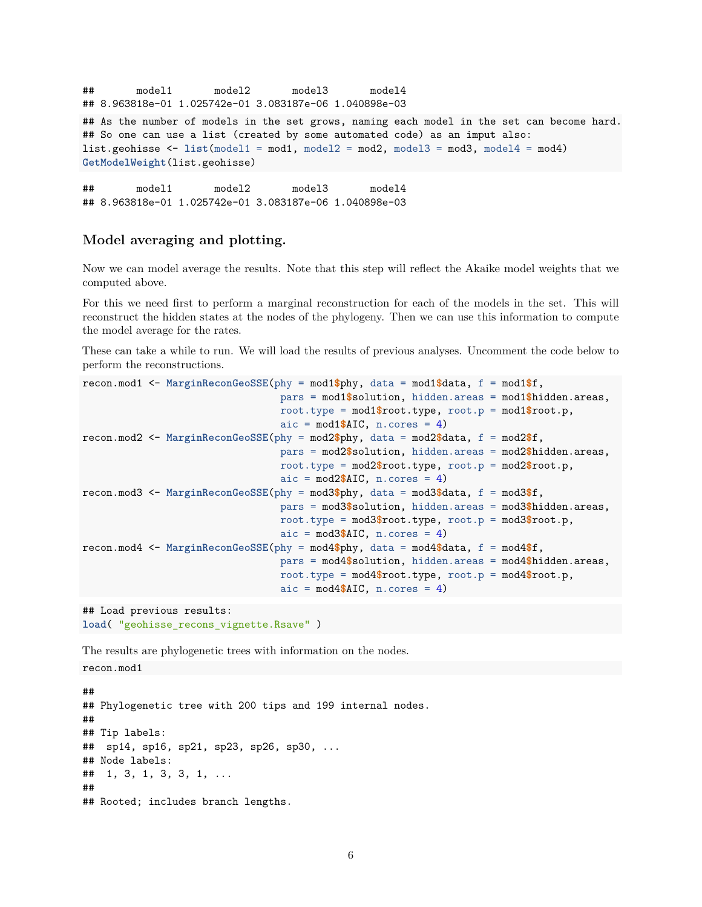```
## model1 model2 model3 model4
## 8.963818e-01 1.025742e-01 3.083187e-06 1.040898e-03
## As the number of models in the set grows, naming each model in the set can become hard.
## So one can use a list (created by some automated code) as an imput also:
list.geohisse <- list(model1 = mod1, model2 = mod2, model3 = mod3, model4 = mod4)
GetModelWeight(list.geohisse)
```
## model1 model2 model3 model4 ## 8.963818e-01 1.025742e-01 3.083187e-06 1.040898e-03

## **Model averaging and plotting.**

Now we can model average the results. Note that this step will reflect the Akaike model weights that we computed above.

For this we need first to perform a marginal reconstruction for each of the models in the set. This will reconstruct the hidden states at the nodes of the phylogeny. Then we can use this information to compute the model average for the rates.

These can take a while to run. We will load the results of previous analyses. Uncomment the code below to perform the reconstructions.

```
recon.mod1 <- MarginReconGeoSSE(phy = mod1$phy, data = mod1$data, f = mod1$f,
                                  pars = mod1$solution, hidden.areas = mod1$hidden.areas,
                                  root.type = mod1$root.type, root.p = mod1$root.p,
                                  aic = mod1$AIC, n.cores = 4)
recon.mod2 <- MarginReconGeoSSE(phy = mod2$phy, data = mod2$data, f = mod2$f,
                                  pars = mod2$solution, hidden.areas = mod2$hidden.areas,
                                  root.type = mod2$root.type, root.p = mod2$root.p,
                                  aic = mod2$AIC, n.cores = 4)
recon.mod3 <- MarginReconGeoSSE(phy = mod3$phy, data = mod3$data, f = mod3$f,
                                  pars = mod3$solution, hidden.areas = mod3$hidden.areas,
                                  root.type = mod3$root.type, root.p = mod3$root.p,
                                  aic = mod3$AIC, n.cores = 4)
recon.mod4 <- MarginReconGeoSSE(phy = mod4$phy, data = mod4$data, f = mod4$f,
                                  pars = mod4$solution, hidden.areas = mod4$hidden.areas,
                                  root.type = mod4\root.type, root.p = mod4\root.p,
                                  aic = mod4$AIC, n \cdot <i>cores</i> = 4)
```

```
## Load previous results:
load( "geohisse_recons_vignette.Rsave" )
```
The results are phylogenetic trees with information on the nodes. recon.mod1

## ## Phylogenetic tree with 200 tips and 199 internal nodes. ## ## Tip labels: ## sp14, sp16, sp21, sp23, sp26, sp30, ... ## Node labels: ## 1, 3, 1, 3, 3, 1, ... ## ## Rooted; includes branch lengths.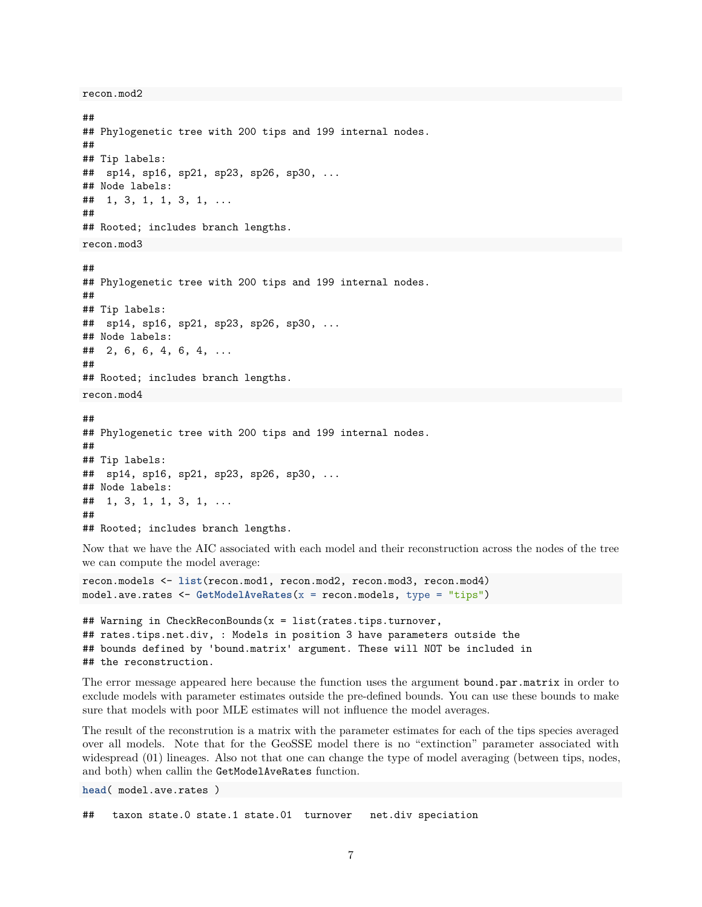```
recon.mod2
```

```
##
## Phylogenetic tree with 200 tips and 199 internal nodes.
##
## Tip labels:
## sp14, sp16, sp21, sp23, sp26, sp30, ...
## Node labels:
## 1, 3, 1, 1, 3, 1, ...
##
## Rooted; includes branch lengths.
recon.mod3
##
## Phylogenetic tree with 200 tips and 199 internal nodes.
##
## Tip labels:
## sp14, sp16, sp21, sp23, sp26, sp30, ...
## Node labels:
## 2, 6, 6, 4, 6, 4, ...
##
## Rooted; includes branch lengths.
recon.mod4
##
## Phylogenetic tree with 200 tips and 199 internal nodes.
##
## Tip labels:
## sp14, sp16, sp21, sp23, sp26, sp30, ...
## Node labels:
## 1, 3, 1, 1, 3, 1, ...
##
## Rooted; includes branch lengths.
```
Now that we have the AIC associated with each model and their reconstruction across the nodes of the tree we can compute the model average:

```
recon.models <- list(recon.mod1, recon.mod2, recon.mod3, recon.mod4)
model.ave.rates <- GetModelAveRates(x = recon.models, type = "tips")
```

```
## Warning in CheckReconBounds(x = list(rates.tips.turnover,
## rates.tips.net.div, : Models in position 3 have parameters outside the
## bounds defined by 'bound.matrix' argument. These will NOT be included in
## the reconstruction.
```
The error message appeared here because the function uses the argument bound.par.matrix in order to exclude models with parameter estimates outside the pre-defined bounds. You can use these bounds to make sure that models with poor MLE estimates will not influence the model averages.

The result of the reconstrution is a matrix with the parameter estimates for each of the tips species averaged over all models. Note that for the GeoSSE model there is no "extinction" parameter associated with widespread  $(01)$  lineages. Also not that one can change the type of model averaging (between tips, nodes, and both) when callin the GetModelAveRates function.

**head**( model.ave.rates )

## taxon state.0 state.1 state.01 turnover net.div speciation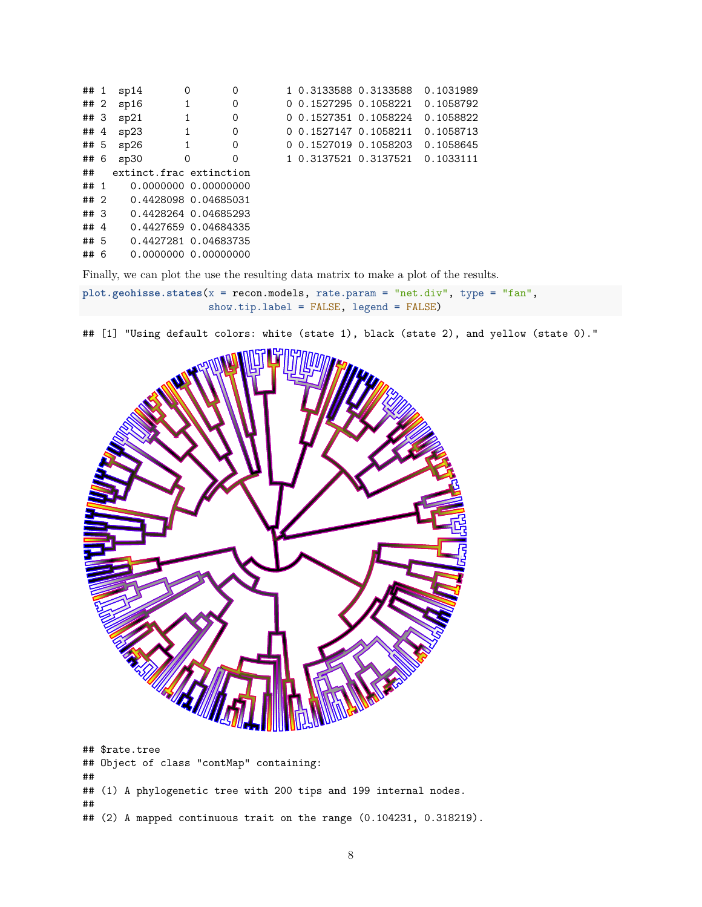| ## 1   | sp14                    | 0            | 0                    | 1 0.3133588 0.3133588 |                       | 0.1031989 |
|--------|-------------------------|--------------|----------------------|-----------------------|-----------------------|-----------|
| ## 2   | sp16                    | 1            | 0                    |                       | 0 0.1527295 0.1058221 | 0.1058792 |
| ## 3   | sp21                    | 1            | 0                    | 0 0.1527351 0.1058224 |                       | 0.1058822 |
| ##4    | sp23                    | $\mathbf{1}$ | 0                    | 0 0.1527147 0.1058211 |                       | 0.1058713 |
| ## 5   | sp26                    | 1            | 0                    | 0 0.1527019 0.1058203 |                       | 0.1058645 |
| ## 6   | sp30                    | $\Omega$     | $\Omega$             |                       | 1 0.3137521 0.3137521 | 0.1033111 |
| ##     | extinct.frac extinction |              |                      |                       |                       |           |
| ## 1   |                         |              | 0.0000000 0.00000000 |                       |                       |           |
| ##2    |                         |              | 0.4428098 0.04685031 |                       |                       |           |
| ## 3   |                         |              | 0.4428264 0.04685293 |                       |                       |           |
| ## $4$ |                         |              | 0.4427659 0.04684335 |                       |                       |           |
| ## 5   |                         |              | 0.4427281 0.04683735 |                       |                       |           |
| ## 6   |                         |              | 0.0000000 0.00000000 |                       |                       |           |
|        |                         |              |                      |                       |                       |           |

Finally, we can plot the use the resulting data matrix to make a plot of the results.

**plot.geohisse.states**(x = recon.models, rate.param = "net.div", type = "fan", show.tip.label = FALSE, legend = FALSE)

## [1] "Using default colors: white (state 1), black (state 2), and yellow (state 0)."



## \$rate.tree ## Object of class "contMap" containing: ## ## (1) A phylogenetic tree with 200 tips and 199 internal nodes. ## ## (2) A mapped continuous trait on the range (0.104231, 0.318219).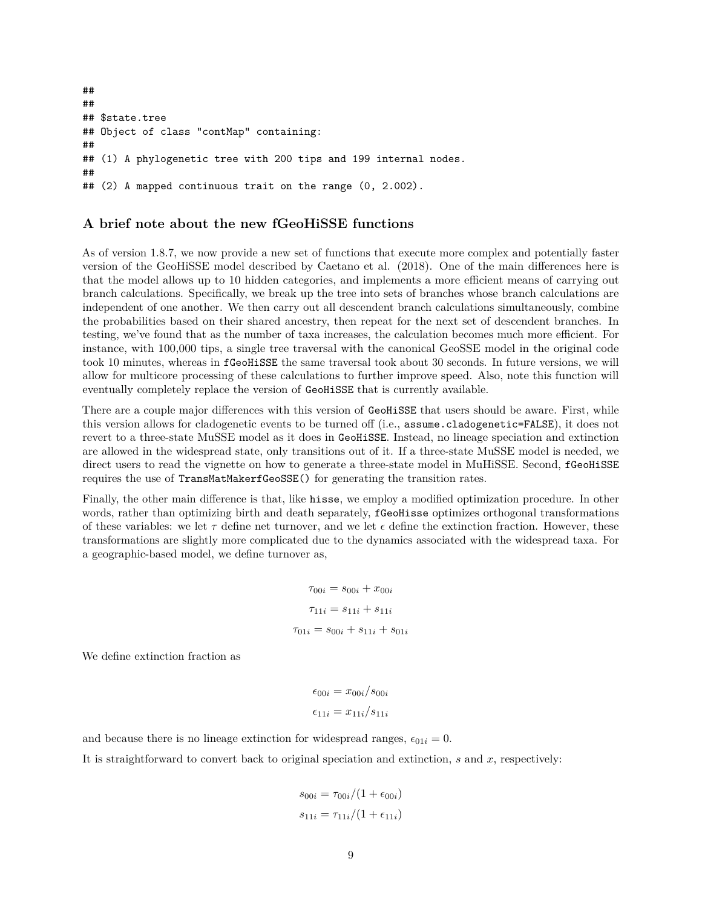```
##
##
## $state.tree
## Object of class "contMap" containing:
##
## (1) A phylogenetic tree with 200 tips and 199 internal nodes.
##
## (2) A mapped continuous trait on the range (0, 2.002).
```
## **A brief note about the new fGeoHiSSE functions**

As of version 1.8.7, we now provide a new set of functions that execute more complex and potentially faster version of the GeoHiSSE model described by Caetano et al. (2018). One of the main differences here is that the model allows up to 10 hidden categories, and implements a more efficient means of carrying out branch calculations. Specifically, we break up the tree into sets of branches whose branch calculations are independent of one another. We then carry out all descendent branch calculations simultaneously, combine the probabilities based on their shared ancestry, then repeat for the next set of descendent branches. In testing, we've found that as the number of taxa increases, the calculation becomes much more efficient. For instance, with 100,000 tips, a single tree traversal with the canonical GeoSSE model in the original code took 10 minutes, whereas in fGeoHiSSE the same traversal took about 30 seconds. In future versions, we will allow for multicore processing of these calculations to further improve speed. Also, note this function will eventually completely replace the version of GeoHiSSE that is currently available.

There are a couple major differences with this version of GeoHiSSE that users should be aware. First, while this version allows for cladogenetic events to be turned off (i.e., assume.cladogenetic=FALSE), it does not revert to a three-state MuSSE model as it does in GeoHiSSE. Instead, no lineage speciation and extinction are allowed in the widespread state, only transitions out of it. If a three-state MuSSE model is needed, we direct users to read the vignette on how to generate a three-state model in MuHiSSE. Second, fGeoHiSSE requires the use of TransMatMakerfGeoSSE() for generating the transition rates.

Finally, the other main difference is that, like hisse, we employ a modified optimization procedure. In other words, rather than optimizing birth and death separately, **fGeoHisse** optimizes orthogonal transformations of these variables: we let  $\tau$  define net turnover, and we let  $\epsilon$  define the extinction fraction. However, these transformations are slightly more complicated due to the dynamics associated with the widespread taxa. For a geographic-based model, we define turnover as,

$$
\tau_{00i} = s_{00i} + x_{00i}
$$

$$
\tau_{11i} = s_{11i} + s_{11i}
$$

$$
\tau_{01i} = s_{00i} + s_{11i} + s_{01i}
$$

We define extinction fraction as

$$
\epsilon_{00i} = x_{00i}/s_{00i}
$$

$$
\epsilon_{11i} = x_{11i}/s_{11i}
$$

and because there is no lineage extinction for widespread ranges,  $\epsilon_{01i} = 0$ .

It is straightforward to convert back to original speciation and extinction, *s* and *x*, respectively:

$$
s_{00i} = \tau_{00i}/(1 + \epsilon_{00i})
$$
  

$$
s_{11i} = \tau_{11i}/(1 + \epsilon_{11i})
$$